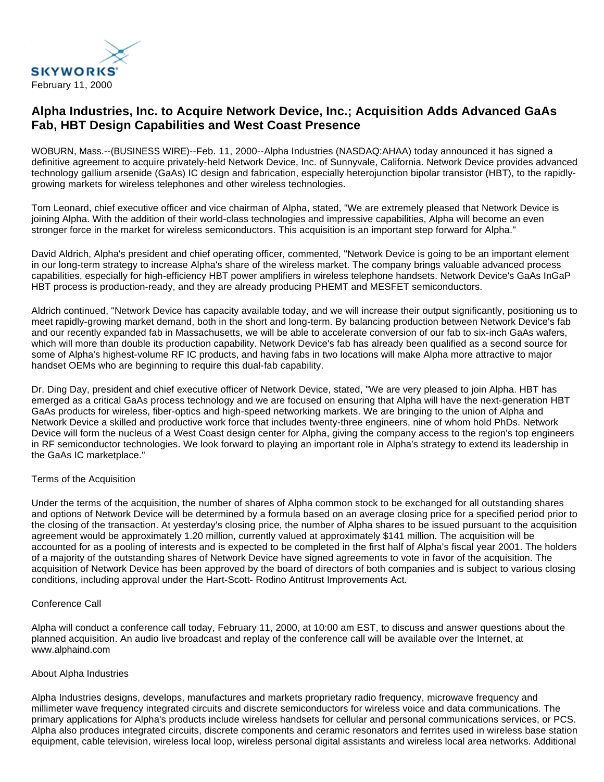

# **Alpha Industries, Inc. to Acquire Network Device, Inc.; Acquisition Adds Advanced GaAs Fab, HBT Design Capabilities and West Coast Presence**

WOBURN, Mass.--(BUSINESS WIRE)--Feb. 11, 2000--Alpha Industries (NASDAQ:AHAA) today announced it has signed a definitive agreement to acquire privately-held Network Device, Inc. of Sunnyvale, California. Network Device provides advanced technology gallium arsenide (GaAs) IC design and fabrication, especially heterojunction bipolar transistor (HBT), to the rapidlygrowing markets for wireless telephones and other wireless technologies.

Tom Leonard, chief executive officer and vice chairman of Alpha, stated, "We are extremely pleased that Network Device is joining Alpha. With the addition of their world-class technologies and impressive capabilities, Alpha will become an even stronger force in the market for wireless semiconductors. This acquisition is an important step forward for Alpha."

David Aldrich, Alpha's president and chief operating officer, commented, "Network Device is going to be an important element in our long-term strategy to increase Alpha's share of the wireless market. The company brings valuable advanced process capabilities, especially for high-efficiency HBT power amplifiers in wireless telephone handsets. Network Device's GaAs InGaP HBT process is production-ready, and they are already producing PHEMT and MESFET semiconductors.

Aldrich continued, "Network Device has capacity available today, and we will increase their output significantly, positioning us to meet rapidly-growing market demand, both in the short and long-term. By balancing production between Network Device's fab and our recently expanded fab in Massachusetts, we will be able to accelerate conversion of our fab to six-inch GaAs wafers, which will more than double its production capability. Network Device's fab has already been qualified as a second source for some of Alpha's highest-volume RF IC products, and having fabs in two locations will make Alpha more attractive to major handset OEMs who are beginning to require this dual-fab capability.

Dr. Ding Day, president and chief executive officer of Network Device, stated, "We are very pleased to join Alpha. HBT has emerged as a critical GaAs process technology and we are focused on ensuring that Alpha will have the next-generation HBT GaAs products for wireless, fiber-optics and high-speed networking markets. We are bringing to the union of Alpha and Network Device a skilled and productive work force that includes twenty-three engineers, nine of whom hold PhDs. Network Device will form the nucleus of a West Coast design center for Alpha, giving the company access to the region's top engineers in RF semiconductor technologies. We look forward to playing an important role in Alpha's strategy to extend its leadership in the GaAs IC marketplace."

# Terms of the Acquisition

Under the terms of the acquisition, the number of shares of Alpha common stock to be exchanged for all outstanding shares and options of Network Device will be determined by a formula based on an average closing price for a specified period prior to the closing of the transaction. At yesterday's closing price, the number of Alpha shares to be issued pursuant to the acquisition agreement would be approximately 1.20 million, currently valued at approximately \$141 million. The acquisition will be accounted for as a pooling of interests and is expected to be completed in the first half of Alpha's fiscal year 2001. The holders of a majority of the outstanding shares of Network Device have signed agreements to vote in favor of the acquisition. The acquisition of Network Device has been approved by the board of directors of both companies and is subject to various closing conditions, including approval under the Hart-Scott- Rodino Antitrust Improvements Act.

# Conference Call

Alpha will conduct a conference call today, February 11, 2000, at 10:00 am EST, to discuss and answer questions about the planned acquisition. An audio live broadcast and replay of the conference call will be available over the Internet, at www.alphaind.com

### About Alpha Industries

Alpha Industries designs, develops, manufactures and markets proprietary radio frequency, microwave frequency and millimeter wave frequency integrated circuits and discrete semiconductors for wireless voice and data communications. The primary applications for Alpha's products include wireless handsets for cellular and personal communications services, or PCS. Alpha also produces integrated circuits, discrete components and ceramic resonators and ferrites used in wireless base station equipment, cable television, wireless local loop, wireless personal digital assistants and wireless local area networks. Additional